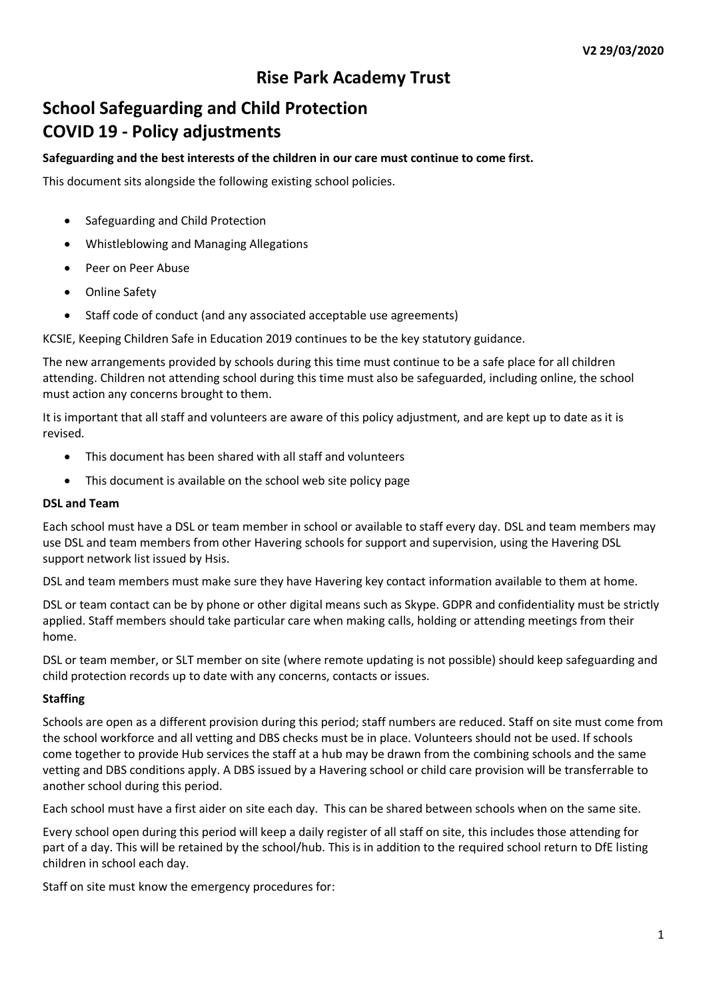# **Rise Park Academy Trust**

# **School Safeguarding and Child Protection COVID 19 - Policy adjustments**

## **Safeguarding and the best interests of the children in our care must continue to come first.**

This document sits alongside the following existing school policies.

- Safeguarding and Child Protection
- Whistleblowing and Managing Allegations
- Peer on Peer Abuse
- Online Safety
- Staff code of conduct (and any associated acceptable use agreements)

KCSIE, Keeping Children Safe in Education 2019 continues to be the key statutory guidance.

The new arrangements provided by schools during this time must continue to be a safe place for all children attending. Children not attending school during this time must also be safeguarded, including online, the school must action any concerns brought to them.

It is important that all staff and volunteers are aware of this policy adjustment, and are kept up to date as it is revised.

- This document has been shared with all staff and volunteers
- This document is available on the school web site policy page

#### **DSL and Team**

Each school must have a DSL or team member in school or available to staff every day. DSL and team members may use DSL and team members from other Havering schools for support and supervision, using the Havering DSL support network list issued by Hsis.

DSL and team members must make sure they have Havering key contact information available to them at home.

DSL or team contact can be by phone or other digital means such as Skype. GDPR and confidentiality must be strictly applied. Staff members should take particular care when making calls, holding or attending meetings from their home.

DSL or team member, or SLT member on site (where remote updating is not possible) should keep safeguarding and child protection records up to date with any concerns, contacts or issues.

# **Staffing**

Schools are open as a different provision during this period; staff numbers are reduced. Staff on site must come from the school workforce and all vetting and DBS checks must be in place. Volunteers should not be used. If schools come together to provide Hub services the staff at a hub may be drawn from the combining schools and the same vetting and DBS conditions apply. A DBS issued by a Havering school or child care provision will be transferrable to another school during this period.

Each school must have a first aider on site each day. This can be shared between schools when on the same site.

Every school open during this period will keep a daily register of all staff on site, this includes those attending for part of a day. This will be retained by the school/hub. This is in addition to the required school return to DfE listing children in school each day.

Staff on site must know the emergency procedures for: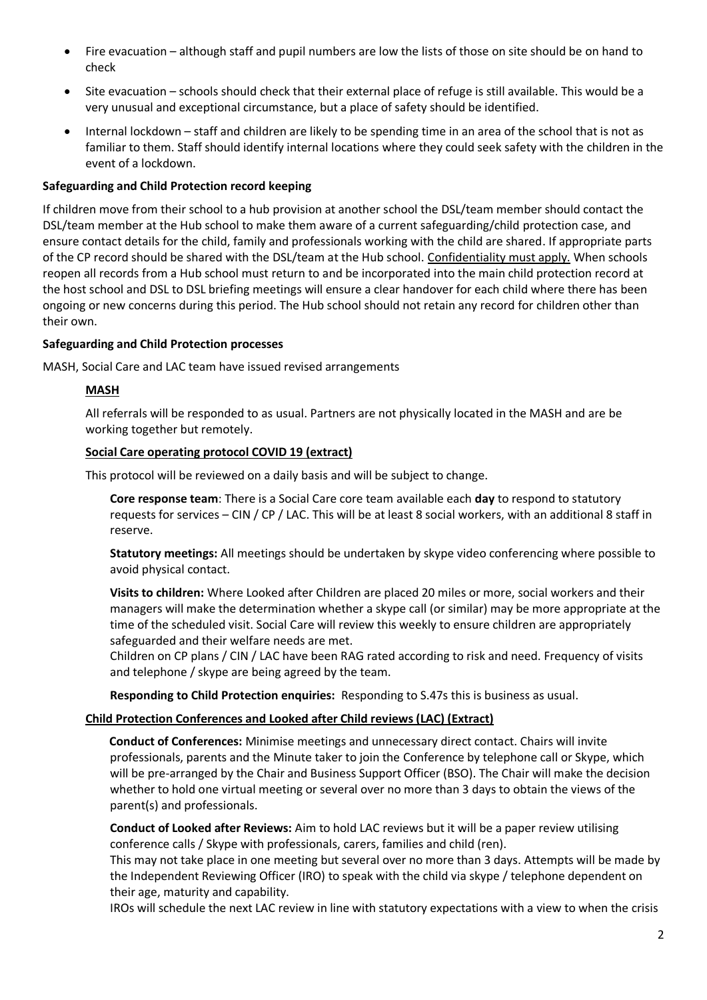- Fire evacuation although staff and pupil numbers are low the lists of those on site should be on hand to check
- Site evacuation schools should check that their external place of refuge is still available. This would be a very unusual and exceptional circumstance, but a place of safety should be identified.
- Internal lockdown staff and children are likely to be spending time in an area of the school that is not as familiar to them. Staff should identify internal locations where they could seek safety with the children in the event of a lockdown.

## **Safeguarding and Child Protection record keeping**

If children move from their school to a hub provision at another school the DSL/team member should contact the DSL/team member at the Hub school to make them aware of a current safeguarding/child protection case, and ensure contact details for the child, family and professionals working with the child are shared. If appropriate parts of the CP record should be shared with the DSL/team at the Hub school. Confidentiality must apply. When schools reopen all records from a Hub school must return to and be incorporated into the main child protection record at the host school and DSL to DSL briefing meetings will ensure a clear handover for each child where there has been ongoing or new concerns during this period. The Hub school should not retain any record for children other than their own.

#### **Safeguarding and Child Protection processes**

MASH, Social Care and LAC team have issued revised arrangements

# **MASH**

All referrals will be responded to as usual. Partners are not physically located in the MASH and are be working together but remotely.

#### **Social Care operating protocol COVID 19 (extract)**

This protocol will be reviewed on a daily basis and will be subject to change.

**Core response team**: There is a Social Care core team available each **day** to respond to statutory requests for services – CIN / CP / LAC. This will be at least 8 social workers, with an additional 8 staff in reserve.

**Statutory meetings:** All meetings should be undertaken by skype video conferencing where possible to avoid physical contact.

**Visits to children:** Where Looked after Children are placed 20 miles or more, social workers and their managers will make the determination whether a skype call (or similar) may be more appropriate at the time of the scheduled visit. Social Care will review this weekly to ensure children are appropriately safeguarded and their welfare needs are met.

Children on CP plans / CIN / LAC have been RAG rated according to risk and need. Frequency of visits and telephone / skype are being agreed by the team.

**Responding to Child Protection enquiries:** Responding to S.47s this is business as usual.

# **Child Protection Conferences and Looked after Child reviews (LAC) (Extract)**

**Conduct of Conferences:** Minimise meetings and unnecessary direct contact. Chairs will invite professionals, parents and the Minute taker to join the Conference by telephone call or Skype, which will be pre-arranged by the Chair and Business Support Officer (BSO). The Chair will make the decision whether to hold one virtual meeting or several over no more than 3 days to obtain the views of the parent(s) and professionals.

**Conduct of Looked after Reviews:** Aim to hold LAC reviews but it will be a paper review utilising conference calls / Skype with professionals, carers, families and child (ren).

This may not take place in one meeting but several over no more than 3 days. Attempts will be made by the Independent Reviewing Officer (IRO) to speak with the child via skype / telephone dependent on their age, maturity and capability.

IROs will schedule the next LAC review in line with statutory expectations with a view to when the crisis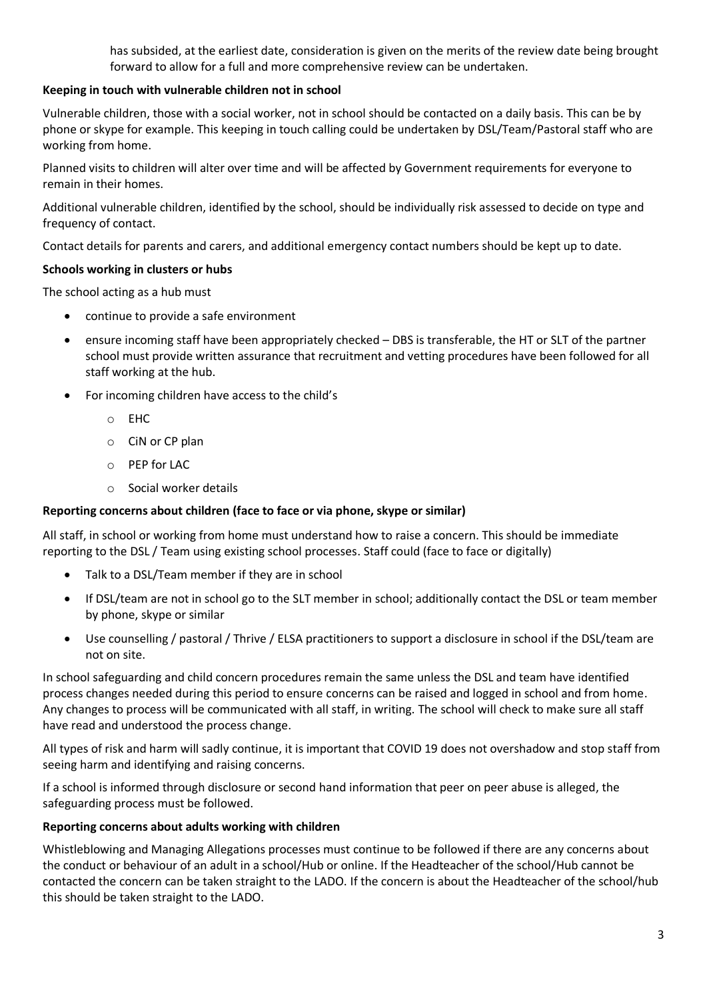has subsided, at the earliest date, consideration is given on the merits of the review date being brought forward to allow for a full and more comprehensive review can be undertaken.

# **Keeping in touch with vulnerable children not in school**

Vulnerable children, those with a social worker, not in school should be contacted on a daily basis. This can be by phone or skype for example. This keeping in touch calling could be undertaken by DSL/Team/Pastoral staff who are working from home.

Planned visits to children will alter over time and will be affected by Government requirements for everyone to remain in their homes.

Additional vulnerable children, identified by the school, should be individually risk assessed to decide on type and frequency of contact.

Contact details for parents and carers, and additional emergency contact numbers should be kept up to date.

# **Schools working in clusters or hubs**

The school acting as a hub must

- continue to provide a safe environment
- ensure incoming staff have been appropriately checked DBS is transferable, the HT or SLT of the partner school must provide written assurance that recruitment and vetting procedures have been followed for all staff working at the hub.
- For incoming children have access to the child's
	- o EHC
	- o CiN or CP plan
	- o PEP for LAC
	- o Social worker details

#### **Reporting concerns about children (face to face or via phone, skype or similar)**

All staff, in school or working from home must understand how to raise a concern. This should be immediate reporting to the DSL / Team using existing school processes. Staff could (face to face or digitally)

- Talk to a DSL/Team member if they are in school
- If DSL/team are not in school go to the SLT member in school; additionally contact the DSL or team member by phone, skype or similar
- Use counselling / pastoral / Thrive / ELSA practitioners to support a disclosure in school if the DSL/team are not on site.

In school safeguarding and child concern procedures remain the same unless the DSL and team have identified process changes needed during this period to ensure concerns can be raised and logged in school and from home. Any changes to process will be communicated with all staff, in writing. The school will check to make sure all staff have read and understood the process change.

All types of risk and harm will sadly continue, it is important that COVID 19 does not overshadow and stop staff from seeing harm and identifying and raising concerns.

If a school is informed through disclosure or second hand information that peer on peer abuse is alleged, the safeguarding process must be followed.

#### **Reporting concerns about adults working with children**

Whistleblowing and Managing Allegations processes must continue to be followed if there are any concerns about the conduct or behaviour of an adult in a school/Hub or online. If the Headteacher of the school/Hub cannot be contacted the concern can be taken straight to the LADO. If the concern is about the Headteacher of the school/hub this should be taken straight to the LADO.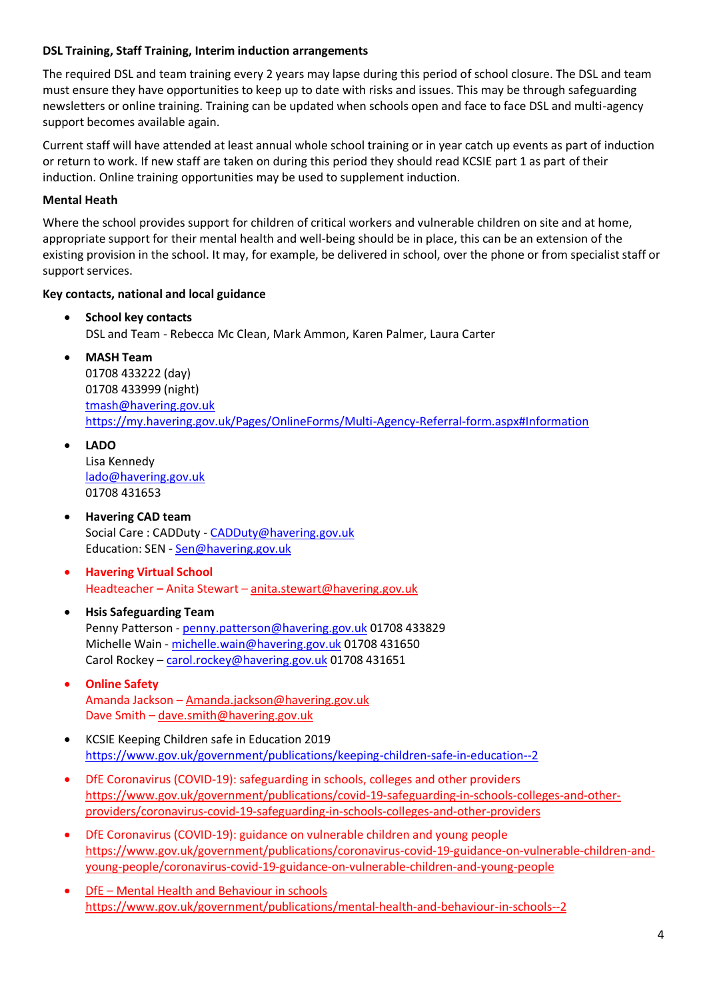## **DSL Training, Staff Training, Interim induction arrangements**

The required DSL and team training every 2 years may lapse during this period of school closure. The DSL and team must ensure they have opportunities to keep up to date with risks and issues. This may be through safeguarding newsletters or online training. Training can be updated when schools open and face to face DSL and multi-agency support becomes available again.

Current staff will have attended at least annual whole school training or in year catch up events as part of induction or return to work. If new staff are taken on during this period they should read KCSIE part 1 as part of their induction. Online training opportunities may be used to supplement induction.

## **Mental Heath**

Where the school provides support for children of critical workers and vulnerable children on site and at home, appropriate support for their mental health and well-being should be in place, this can be an extension of the existing provision in the school. It may, for example, be delivered in school, over the phone or from specialist staff or support services.

#### **Key contacts, national and local guidance**

- **School key contacts** DSL and Team - Rebecca Mc Clean, Mark Ammon, Karen Palmer, Laura Carter
	- **MASH Team**  01708 433222 (day) 01708 433999 (night) [tmash@havering.gov.uk](mailto:tmash@havering.gov.uk) <https://my.havering.gov.uk/Pages/OnlineForms/Multi-Agency-Referral-form.aspx#Information>
- **LADO**

Lisa Kennedy [lado@havering.gov.uk](mailto:lado@havering.gov.uk) 01708 431653

- **Havering CAD team** Social Care: CADDuty - [CADDuty@havering.gov.uk](mailto:CADDuty@havering.gov.uk) Education: SEN - [Sen@havering.gov.uk](mailto:Sen@havering.gov.uk)
- **Havering Virtual School** Headteacher **–** Anita Stewart – anita.stewart@havering.gov.uk

# • **Hsis Safeguarding Team** Penny Patterson - [penny.patterson@havering.gov.uk](mailto:penny.patterson@havering.gov.uk) 01708 433829 Michelle Wain - [michelle.wain@havering.gov.uk](mailto:michelle.wain@havering.gov.uk) 01708 431650 Carol Rockey – [carol.rockey@havering.gov.uk](mailto:carol.rockey@havering.gov.uk) 01708 431651

- **Online Safety** Amanda Jackson – [Amanda.jackson@havering.gov.uk](mailto:Amanda.jackson@havering.gov.uk) Dave Smith – [dave.smith@havering.gov.uk](mailto:dave.smith@havering.gov.uk)
- KCSIE Keeping Children safe in Education 2019 <https://www.gov.uk/government/publications/keeping-children-safe-in-education--2>
- DfE Coronavirus (COVID-19): safeguarding in schools, colleges and other providers [https://www.gov.uk/government/publications/covid-19-safeguarding-in-schools-colleges-and-other](https://www.gov.uk/government/publications/covid-19-safeguarding-in-schools-colleges-and-other-providers/coronavirus-covid-19-safeguarding-in-schools-colleges-and-other-providers)[providers/coronavirus-covid-19-safeguarding-in-schools-colleges-and-other-providers](https://www.gov.uk/government/publications/covid-19-safeguarding-in-schools-colleges-and-other-providers/coronavirus-covid-19-safeguarding-in-schools-colleges-and-other-providers)
- DfE Coronavirus (COVID-19): guidance on vulnerable children and young people [https://www.gov.uk/government/publications/coronavirus-covid-19-guidance-on-vulnerable-children-and](https://www.gov.uk/government/publications/coronavirus-covid-19-guidance-on-vulnerable-children-and-young-people/coronavirus-covid-19-guidance-on-vulnerable-children-and-young-people)[young-people/coronavirus-covid-19-guidance-on-vulnerable-children-and-young-people](https://www.gov.uk/government/publications/coronavirus-covid-19-guidance-on-vulnerable-children-and-young-people/coronavirus-covid-19-guidance-on-vulnerable-children-and-young-people)
- DfE Mental Health and Behaviour in schools <https://www.gov.uk/government/publications/mental-health-and-behaviour-in-schools--2>